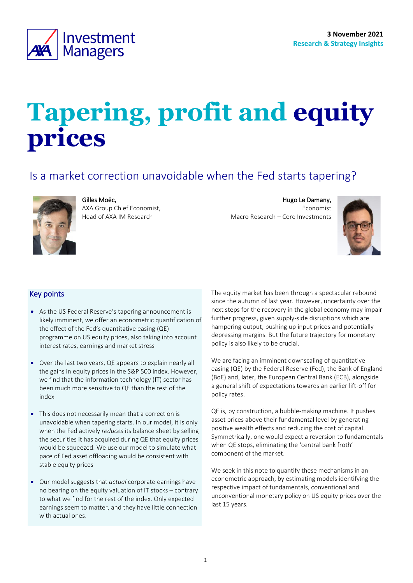

# **Tapering, profit and equity prices**

# Is a market correction unavoidable when the Fed starts tapering?



Gilles Moëc,

AXA Group Chief Economist, Head of AXA IM Research

Hugo Le Damany, Economist Macro Research – Core Investments

<span id="page-0-0"></span>

## Key points

- As the US Federal Reserve's tapering announcement is likely imminent, we offer an econometric quantification of the effect of the Fed's quantitative easing (QE) programme on US equity prices, also taking into account interest rates, earnings and market stress
- Over the last two years, QE appears to explain nearly all the gains in equity prices in the S&P 500 index. However, we find that the information technology (IT) sector has been much more sensitive to QE than the rest of the index
- This does not necessarily mean that a correction is unavoidable when tapering starts. In our model, it is only when the Fed actively *reduces* its balance sheet by selling the securities it has acquired during QE that equity prices would be squeezed. We use our model to simulate what pace of Fed asset offloading would be consistent with stable equity prices
- Our model suggests that *actual* corporate earnings have no bearing on the equity valuation of IT stocks – contrary to what we find for the rest of the index. Only expected earnings seem to matter, and they have little connection with actual ones.

The equity market has been through a spectacular rebound since the autumn of last year. However, uncertainty over the next steps for the recovery in the global economy may impair further progress, given supply-side disruptions which are hampering output, pushing up input prices and potentially depressing margins. But the future trajectory for monetary policy is also likely to be crucial.

We are facing an imminent downscaling of quantitative easing (QE) by the Federal Reserve (Fed), the Bank of England (BoE) and, later, the European Central Bank (ECB), alongside a general shift of expectations towards an earlier lift-off for policy rates.

QE is, by construction, a bubble-making machine. It pushes asset prices above their fundamental level by generating positive wealth effects and reducing the cost of capital. Symmetrically, one would expect a reversion to fundamentals when QE stops, eliminating the 'central bank froth' component of the market.

We seek in this note to quantify these mechanisms in an econometric approach, by estimating models identifying the respective impact of fundamentals, conventional and unconventional monetary policy on US equity prices over the last 15 years.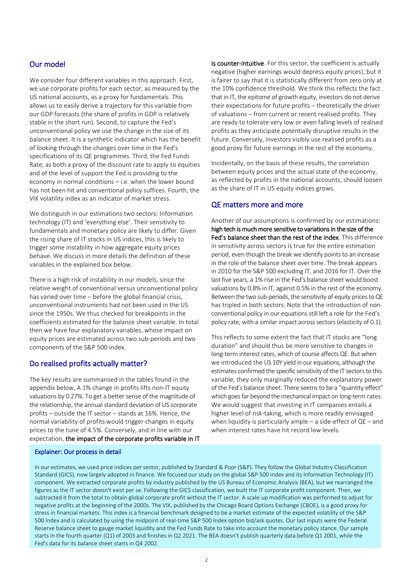#### Our model

We consider four different variables in this approach. First, we use corporate profits for each sector, as measured by the US national accounts, as a proxy for fundamentals. This allows us to easily derive a trajectory for this variable from our GDP forecasts (the share of profits in GDP is relatively stable in the short run). Second, to capture the Fed's unconventional policy we use the change in the size of its balance sheet. It is a synthetic indicator which has the benefit of looking through the changes over time in the Fed's specifications of its QE programmes. Third, the Fed Funds Rate, as both a proxy of the discount rate to apply to equities and of the level of support the Fed is providing to the economy in normal conditions – i.e. when the lower bound has not been hit and conventional policy suffices. Fourth, the VIX volatility index as an indicator of market stress.

We distinguish in our estimations two sectors: Information technology (IT) and 'everything else'. Their sensitivity to fundamentals and monetary policy are likely to differ. Given the rising share of IT stocks in US indices, this is likely to trigger some instability in how aggregate equity prices behave. We discuss in more details the definition of these variables in the explained box below.

There is a high risk of instability in our models, since the relative weight of conventional versus unconventional policy has varied over time – before the global financial crisis, unconventional instruments had not been used in the US since the 1950s. We thus checked for breakpoints in the coefficients estimated for the balance sheet variable. In total then we have four explanatory variables, whose impact on equity prices are estimated across two sub-periods and two components of the S&P 500 index.

#### Do realised profits actually matter?

The key results are summarised in the tables found in the appendix below. A 1% change in profits lifts non-IT equity valuations by 0.27%. To get a better sense of the magnitude of the relationship, the annual standard deviation of US corporate profits – outside the IT sector – stands at 16%. Hence, the normal variability of profits would trigger changes in equity prices to the tune of 4.5%. Conversely, and in line with our expectation, the impact of the corporate profits variable in IT is counter-intuitive. For this sector, the coefficient is actually negative (higher earnings would depress equity prices), but it is fairer to say that it is statistically different from zero only at the 10% confidence threshold. We think this reflects the fact that in IT, the epitome of growth equity, investors do not derive their expectations for future profits – theoretically the driver of valuations – from current or recent realised profits. They are ready to tolerate very low or even falling levels of realised profits as they anticipate potentially disruptive results in the future. Conversely, investors visibly use realised profits as a good proxy for future earnings in the rest of the economy.

Incidentally, on the basis of these results, the correlation between equity prices and the actual state of the economy, as reflected by profits in the national accounts, should loosen as the share of IT in US equity indices grows.

#### QE matters more and more

Another of our assumptions is confirmed by our estimations: high tech is much more sensitive to variations in the size of the Fed's balance sheet than the rest of the index. This difference in sensitivity across sectors is true for the entire estimation period, even though the break we identify points to an increase in the role of the balance sheet over time. The break appears in 2010 for the S&P 500 excluding IT, and 2016 for IT. Over the last five years, a 1% rise in the Fed's balance sheet would boost valuations by 0.8% in IT, against 0.5% in the rest of the economy. Between the two sub-periods, the sensitivity of equity prices to QE has tripled in both sectors. Note that the introduction of nonconventional policy in our equations still left a role for the Fed's policy rate, with a similar impact across sectors (elasticity of 0.1).

This reflects to some extent the fact that IT stocks are "long duration" and should thus be more sensitive to changes in long-term interest rates, which of course affects QE. But when we introduced the US 10Y yield in our equations, although the estimates confirmed the specific sensitivity of the IT sectors to this variable, they only marginally reduced the explanatory power of the Fed's balance sheet. There seems to be a "quantity effect" which goes far beyond the mechanical impact on long-term rates. We would suggest that investing in IT companies entails a higher level of risk-taking, which is more readily envisaged when liquidity is particularly ample – a side-effect of QE – and when interest rates have hit record low levels.

#### Explainer: Our process in detail

In our estimates, we used price indices per sector, published by Standard & Poor (S&P). They follow the Global Industry Classification Standard (GICS), now largely adopted in finance. We focused our study on the global S&P 500 index and its Information Technology (IT) component. We extracted corporate profits by industry published by the US Bureau of Economic Analysis (BEA), but we rearranged the figures as the IT sector doesn't exist per se. Following the GICS classification, we built the IT corporate profit component. Then, we subtracted it from the total to obtain global corporate profit without the IT sector. A scale-up modification was performed to adjust for negative profits at the beginning of the 2000s. The VIX, published by the Chicago Board Options Exchange (CBOE), is a good proxy for stress in financial markets. This index is a financial benchmark designed to be a market estimate of the expected volatility of the S&P 500 Index and is calculated by using the midpoint of real-time S&P 500 Index option bid/ask quotes. Our last inputs were the Federal Reserve balance sheet to gauge market liquidity and the Fed Funds Rate to take into account the monetary policy stance. Our sample starts in the fourth quarter (Q1) of 2003 and finishes in Q2 2021. The BEA doesn't publish quarterly data before Q1 2001, while the Fed's data for its balance sheet starts in Q4 2002.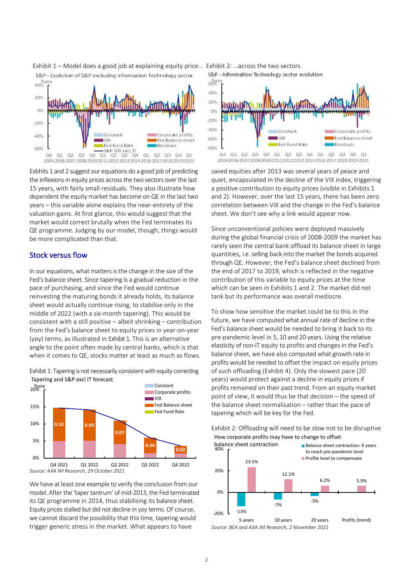

Exhibit 1 – Model does a good job at explaining equity price… Exhibit 2: …across the two sectors S&P - Evolution of S&P excluding Information Technology sector

Exbhits 1 and 2 suggest our equations do a good job of predicting saved equities after 2013 was several years of peace the inflexions in equity prices across the two sectors over the last 15 years, with fairly small residuals. They also illustrate how dependent the equity market has become on QE in the last two years – this variable alone explains the near-entirety of the valuation gains. At first glance, this would suggest that the market would correct brutally when the Fed terminates its QE programme. Judging by our model, though, things would be more complicated than that.

#### Stock versus flow

In our equations, what matters is the change in the size of the Fed's balance sheet. Since tapering is a gradual reduction in the pace of purchasing, and since the Fed would continue reinvesting the maturing bonds it already holds, its balance sheet would actually continue rising, to stabilise only in the middle of 2022 (with a six-month tapering). This would be consistent with a still positive – albeit shrinking – contribution from the Fed's balance sheet to equity prices in year-on-year (yoy) terms, as illustrated in [Exhibit 1.](#page-2-0) This is an alternative angle to the point often made by central banks, which is that when it comes to QE, stocks matter at least as much as flows.

<span id="page-2-0"></span>



We have at least one example to verify the conclusion from our model. After the 'taper tantrum' of mid-2013, the Fed terminated its QE programme in 2014, thus stabilising its balance sheet. Equity prices stalled but did not decline in yoy terms. Of course, we cannot discard the possibility that this time, tapering would trigger generic stress in the market. What appears to have

S&P - Information Technology sector evolution



saved equities after 2013 was several years of peace and quiet, encapsulated in the decline of the VIX index, triggering a positive contribution to equity prices (visible in Exhibits 1 and 2). However, over the last 15 years, there has been zero correlation between VIX and the change in the Fed's balance sheet. We don't see why a link would appear now.

Since unconventional policies were deployed massively during the global financial crisis of 2008-2009 the market has rarely seen the central bank offload its balance sheet in large quantities, i.e. selling back into the market the bonds acquired through QE. However, the Fed's balance sheet declined from the end of 2017 to 2019, which is reflected in the negative contribution of this variable to equity prices at the time which can be seen in Exhibits 1 and 2. The market did not tank but its performance was overall mediocre.

To show how sensitive the market could be to this in the future, we have computed what annual rate of decline in the Fed's balance sheet would be needed to bring it back to its pre-pandemic level in 5, 10 and 20 years. Using the relative elasticity of non-IT equity to profits and changes in the Fed's balance sheet, we have also computed what growth rate in profits would be needed to offset the impact on equity prices of such offloading (Exhibit 4). Only the slowest pace (20 years) would protect against a decline in equity prices if profits remained on their past trend. From an equity market point of view, it would thus be that decision – the speed of the balance sheet normalisation – rather than the pace of tapering which will be key for the Fed.

Exhibit 2: Offloading will need to be slow not to be disruptive How corporate profits may have to change to offset